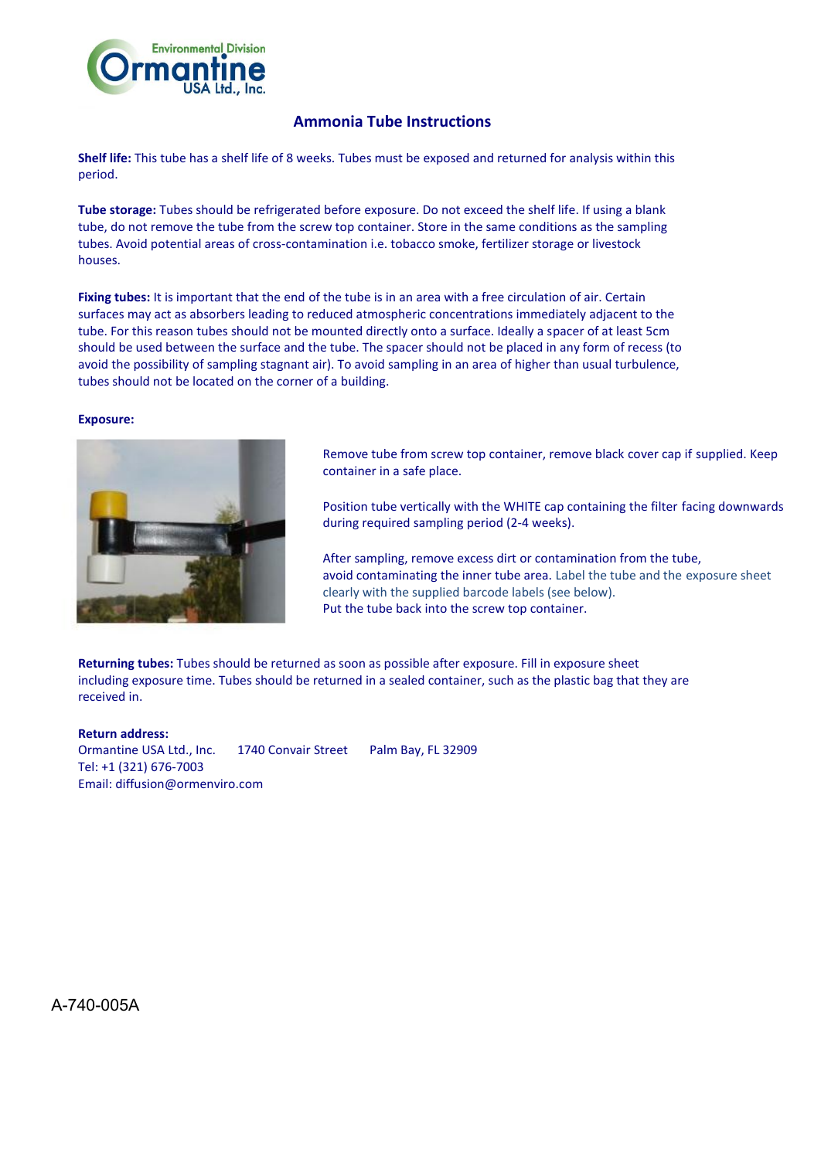

## **Ammonia Tube Instructions**

**Shelf life:** This tube has a shelf life of 8 weeks. Tubes must be exposed and returned for analysis within this period.

**Tube storage:** Tubes should be refrigerated before exposure. Do not exceed the shelf life. If using a blank tube, do not remove the tube from the screw top container. Store in the same conditions as the sampling tubes. Avoid potential areas of cross-contamination i.e. tobacco smoke, fertilizer storage or livestock houses.

**Fixing tubes:** It is important that the end of the tube is in an area with a free circulation of air. Certain surfaces may act as absorbers leading to reduced atmospheric concentrations immediately adjacent to the tube. For this reason tubes should not be mounted directly onto a surface. Ideally a spacer of at least 5cm should be used between the surface and the tube. The spacer should not be placed in any form of recess (to avoid the possibility of sampling stagnant air). To avoid sampling in an area of higher than usual turbulence, tubes should not be located on the corner of a building.

## **Exposure:**



Remove tube from screw top container, remove black cover cap if supplied. Keep container in a safe place.

Position tube vertically with the WHITE cap containing the filter facing downwards during required sampling period (2-4 weeks).

After sampling, remove excess dirt or contamination from the tube, avoid contaminating the inner tube area. Label the tube and the exposure sheet clearly with the supplied barcode labels (see below). Put the tube back into the screw top container.

**Returning tubes:** Tubes should be returned as soon as possible after exposure. Fill in exposure sheet including exposure time. Tubes should be returned in a sealed container, such as the plastic bag that they are received in.

**Return address:** Ormantine USA Ltd., Inc. 1740 Convair Street Palm Bay, FL 32909 Tel: +1 (321) 676-7003 Email: diffusion@ormenviro.com

A-740-005A